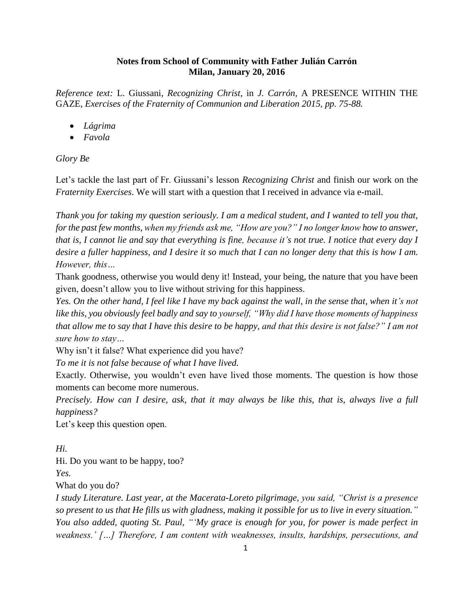### **Notes from School of Community with Father Julián Carrón Milan, January 20, 2016**

*Reference text:* L. Giussani, *Recognizing Christ*, in *J. Carrón,* A PRESENCE WITHIN THE GAZE*, Exercises of the Fraternity of Communion and Liberation 2015, pp. 75-88.*

- *Lágrima*
- *Favola*

## *Glory Be*

Let's tackle the last part of Fr. Giussani's lesson *Recognizing Christ* and finish our work on the *Fraternity Exercises*. We will start with a question that I received in advance via e-mail.

*Thank you for taking my question seriously. I am a medical student, and I wanted to tell you that, for the past few months, when my friends ask me, "How are you?" I no longer know how to answer, that is, I cannot lie and say that everything is fine, because it's not true. I notice that every day I desire a fuller happiness, and I desire it so much that I can no longer deny that this is how I am. However, this…*

Thank goodness, otherwise you would deny it! Instead, your being, the nature that you have been given, doesn't allow you to live without striving for this happiness.

*Yes. On the other hand, I feel like I have my back against the wall, in the sense that, when it's not like this, you obviously feel badly and say to yourself, "Why did I have those moments of happiness that allow me to say that I have this desire to be happy, and that this desire is not false?" I am not sure how to stay…*

Why isn't it false? What experience did you have?

*To me it is not false because of what I have lived.*

Exactly. Otherwise, you wouldn't even have lived those moments. The question is how those moments can become more numerous.

*Precisely. How can I desire, ask, that it may always be like this, that is, always live a full happiness?*

Let's keep this question open.

*Hi.*

Hi. Do you want to be happy, too?

*Yes.*

What do you do?

*I study Literature. Last year, at the Macerata-Loreto pilgrimage, you said, "Christ is a presence so present to us that He fills us with gladness, making it possible for us to live in every situation." You also added, quoting St. Paul, "'My grace is enough for you, for power is made perfect in weakness.' […] Therefore, I am content with weaknesses, insults, hardships, persecutions, and*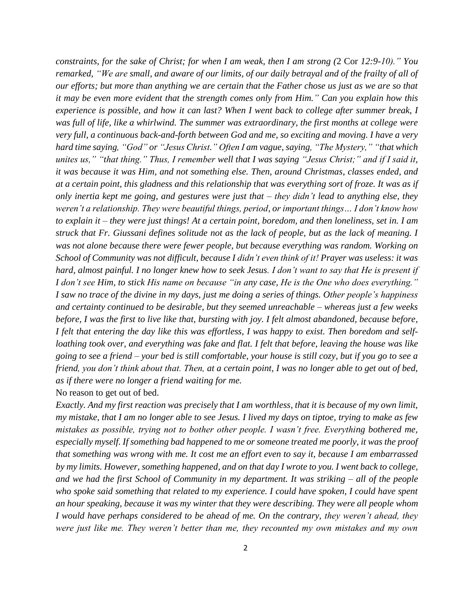*constraints, for the sake of Christ; for when I am weak, then I am strong (*2 Cor *12:9-10)." You remarked, "We are small, and aware of our limits, of our daily betrayal and of the frailty of all of our efforts; but more than anything we are certain that the Father chose us just as we are so that it may be even more evident that the strength comes only from Him." Can you explain how this experience is possible, and how it can last? When I went back to college after summer break, I was full of life, like a whirlwind. The summer was extraordinary, the first months at college were very full, a continuous back-and-forth between God and me, so exciting and moving. I have a very hard time saying, "God" or "Jesus Christ." Often I am vague, saying, "The Mystery," "that which unites us," "that thing." Thus, I remember well that I was saying "Jesus Christ;" and if I said it, it was because it was Him, and not something else. Then, around Christmas, classes ended, and at a certain point, this gladness and this relationship that was everything sort of froze. It was as if only inertia kept me going, and gestures were just that – they didn't lead to anything else, they weren't a relationship. They were beautiful things, period, or important things… I don't know how to explain it – they were just things! At a certain point, boredom, and then loneliness, set in. I am struck that Fr. Giussani defines solitude not as the lack of people, but as the lack of meaning. I was not alone because there were fewer people, but because everything was random. Working on School of Community was not difficult, because I didn't even think of it! Prayer was useless: it was hard, almost painful. I no longer knew how to seek Jesus. I don't want to say that He is present if I don't see Him, to stick His name on because "in any case, He is the One who does everything." I saw no trace of the divine in my days, just me doing a series of things. Other people's happiness and certainty continued to be desirable, but they seemed unreachable – whereas just a few weeks before, I was the first to live like that, bursting with joy. I felt almost abandoned, because before, I felt that entering the day like this was effortless, I was happy to exist. Then boredom and selfloathing took over, and everything was fake and flat. I felt that before, leaving the house was like going to see a friend – your bed is still comfortable, your house is still cozy, but if you go to see a friend, you don't think about that. Then, at a certain point, I was no longer able to get out of bed, as if there were no longer a friend waiting for me.* No reason to get out of bed.

*Exactly. And my first reaction was precisely that I am worthless, that it is because of my own limit, my mistake, that I am no longer able to see Jesus. I lived my days on tiptoe, trying to make as few mistakes as possible, trying not to bother other people. I wasn't free. Everything bothered me, especially myself. If something bad happened to me or someone treated me poorly, it was the proof that something was wrong with me. It cost me an effort even to say it, because I am embarrassed by my limits. However, something happened, and on that day I wrote to you. I went back to college, and we had the first School of Community in my department. It was striking – all of the people who spoke said something that related to my experience. I could have spoken, I could have spent an hour speaking, because it was my winter that they were describing. They were all people whom I would have perhaps considered to be ahead of me. On the contrary, they weren't ahead, they were just like me. They weren't better than me, they recounted my own mistakes and my own*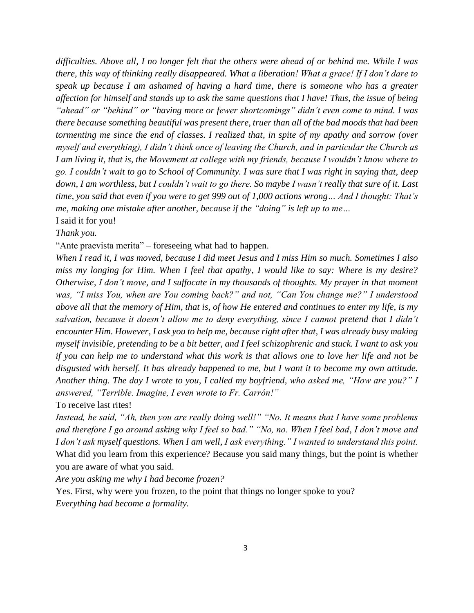*difficulties. Above all, I no longer felt that the others were ahead of or behind me. While I was there, this way of thinking really disappeared. What a liberation! What a grace! If I don't dare to speak up because I am ashamed of having a hard time, there is someone who has a greater affection for himself and stands up to ask the same questions that I have! Thus, the issue of being "ahead" or "behind" or "having more or fewer shortcomings" didn't even come to mind. I was there because something beautiful was present there, truer than all of the bad moods that had been tormenting me since the end of classes. I realized that, in spite of my apathy and sorrow (over myself and everything), I didn't think once of leaving the Church, and in particular the Church as I am living it, that is, the Movement at college with my friends, because I wouldn't know where to go. I couldn't wait to go to School of Community. I was sure that I was right in saying that, deep down, I am worthless, but I couldn't wait to go there. So maybe I wasn't really that sure of it. Last time, you said that even if you were to get 999 out of 1,000 actions wrong… And I thought: That's me, making one mistake after another, because if the "doing" is left up to me…* I said it for you!

*Thank you.*

"Ante praevista merita" – foreseeing what had to happen.

*When I read it, I was moved, because I did meet Jesus and I miss Him so much. Sometimes I also miss my longing for Him. When I feel that apathy, I would like to say: Where is my desire? Otherwise, I don't move, and I suffocate in my thousands of thoughts. My prayer in that moment was, "I miss You, when are You coming back?" and not, "Can You change me?" I understood above all that the memory of Him, that is, of how He entered and continues to enter my life, is my salvation, because it doesn't allow me to deny everything, since I cannot pretend that I didn't encounter Him. However, I ask you to help me, because right after that, I was already busy making myself invisible, pretending to be a bit better, and I feel schizophrenic and stuck. I want to ask you if you can help me to understand what this work is that allows one to love her life and not be disgusted with herself. It has already happened to me, but I want it to become my own attitude. Another thing. The day I wrote to you, I called my boyfriend, who asked me, "How are you?" I answered, "Terrible. Imagine, I even wrote to Fr. Carrón!"*

To receive last rites!

*Instead, he said, "Ah, then you are really doing well!" "No. It means that I have some problems and therefore I go around asking why I feel so bad." "No, no. When I feel bad, I don't move and I don't ask myself questions. When I am well, I ask everything." I wanted to understand this point.* What did you learn from this experience? Because you said many things, but the point is whether you are aware of what you said.

*Are you asking me why I had become frozen?*

Yes. First, why were you frozen, to the point that things no longer spoke to you? *Everything had become a formality.*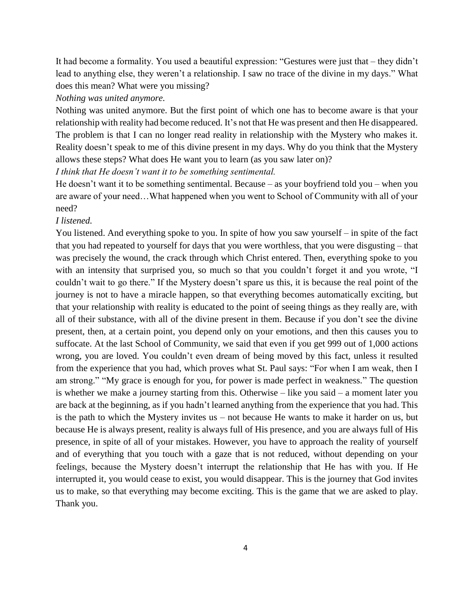It had become a formality. You used a beautiful expression: "Gestures were just that – they didn't lead to anything else, they weren't a relationship. I saw no trace of the divine in my days." What does this mean? What were you missing?

#### *Nothing was united anymore.*

Nothing was united anymore. But the first point of which one has to become aware is that your relationship with reality had become reduced. It's not that He was present and then He disappeared. The problem is that I can no longer read reality in relationship with the Mystery who makes it. Reality doesn't speak to me of this divine present in my days. Why do you think that the Mystery allows these steps? What does He want you to learn (as you saw later on)?

*I think that He doesn't want it to be something sentimental.*

He doesn't want it to be something sentimental. Because – as your boyfriend told you – when you are aware of your need…What happened when you went to School of Community with all of your need?

### *I listened.*

You listened. And everything spoke to you. In spite of how you saw yourself – in spite of the fact that you had repeated to yourself for days that you were worthless, that you were disgusting – that was precisely the wound, the crack through which Christ entered. Then, everything spoke to you with an intensity that surprised you, so much so that you couldn't forget it and you wrote, "I couldn't wait to go there." If the Mystery doesn't spare us this, it is because the real point of the journey is not to have a miracle happen, so that everything becomes automatically exciting, but that your relationship with reality is educated to the point of seeing things as they really are, with all of their substance, with all of the divine present in them. Because if you don't see the divine present, then, at a certain point, you depend only on your emotions, and then this causes you to suffocate. At the last School of Community, we said that even if you get 999 out of 1,000 actions wrong, you are loved. You couldn't even dream of being moved by this fact, unless it resulted from the experience that you had, which proves what St. Paul says: "For when I am weak, then I am strong." "My grace is enough for you, for power is made perfect in weakness." The question is whether we make a journey starting from this. Otherwise – like you said – a moment later you are back at the beginning, as if you hadn't learned anything from the experience that you had. This is the path to which the Mystery invites us – not because He wants to make it harder on us, but because He is always present, reality is always full of His presence, and you are always full of His presence, in spite of all of your mistakes. However, you have to approach the reality of yourself and of everything that you touch with a gaze that is not reduced, without depending on your feelings, because the Mystery doesn't interrupt the relationship that He has with you. If He interrupted it, you would cease to exist, you would disappear. This is the journey that God invites us to make, so that everything may become exciting. This is the game that we are asked to play. Thank you.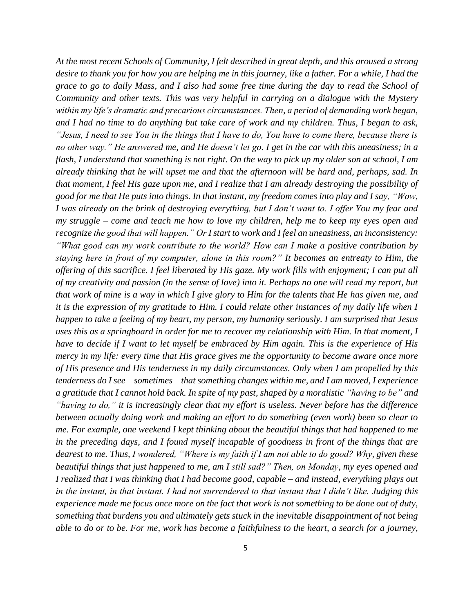*At the most recent Schools of Community, I felt described in great depth, and this aroused a strong desire to thank you for how you are helping me in this journey, like a father. For a while, I had the grace to go to daily Mass, and I also had some free time during the day to read the School of Community and other texts. This was very helpful in carrying on a dialogue with the Mystery within my life's dramatic and precarious circumstances. Then, a period of demanding work began, and I had no time to do anything but take care of work and my children. Thus, I began to ask, "Jesus, I need to see You in the things that I have to do, You have to come there, because there is no other way." He answered me, and He doesn't let go. I get in the car with this uneasiness; in a flash, I understand that something is not right. On the way to pick up my older son at school, I am already thinking that he will upset me and that the afternoon will be hard and, perhaps, sad. In that moment, I feel His gaze upon me, and I realize that I am already destroying the possibility of good for me that He puts into things. In that instant, my freedom comes into play and I say, "Wow, I was already on the brink of destroying everything, but I don't want to. I offer You my fear and my struggle – come and teach me how to love my children, help me to keep my eyes open and recognize the good that will happen." Or I start to work and I feel an uneasiness, an inconsistency: "What good can my work contribute to the world? How can I make a positive contribution by staying here in front of my computer, alone in this room?" It becomes an entreaty to Him, the offering of this sacrifice. I feel liberated by His gaze. My work fills with enjoyment; I can put all of my creativity and passion (in the sense of love) into it. Perhaps no one will read my report, but that work of mine is a way in which I give glory to Him for the talents that He has given me, and it is the expression of my gratitude to Him. I could relate other instances of my daily life when I happen to take a feeling of my heart, my person, my humanity seriously. I am surprised that Jesus uses this as a springboard in order for me to recover my relationship with Him. In that moment, I have to decide if I want to let myself be embraced by Him again. This is the experience of His mercy in my life: every time that His grace gives me the opportunity to become aware once more of His presence and His tenderness in my daily circumstances. Only when I am propelled by this tenderness do I see – sometimes – that something changes within me, and I am moved, I experience a gratitude that I cannot hold back. In spite of my past, shaped by a moralistic "having to be" and "having to do," it is increasingly clear that my effort is useless. Never before has the difference between actually doing work and making an effort to do something (even work) been so clear to me. For example, one weekend I kept thinking about the beautiful things that had happened to me in the preceding days, and I found myself incapable of goodness in front of the things that are dearest to me. Thus, I wondered, "Where is my faith if I am not able to do good? Why, given these beautiful things that just happened to me, am I still sad?" Then, on Monday, my eyes opened and I realized that I was thinking that I had become good, capable – and instead, everything plays out in the instant, in that instant. I had not surrendered to that instant that I didn't like. Judging this experience made me focus once more on the fact that work is not something to be done out of duty, something that burdens you and ultimately gets stuck in the inevitable disappointment of not being able to do or to be. For me, work has become a faithfulness to the heart, a search for a journey,*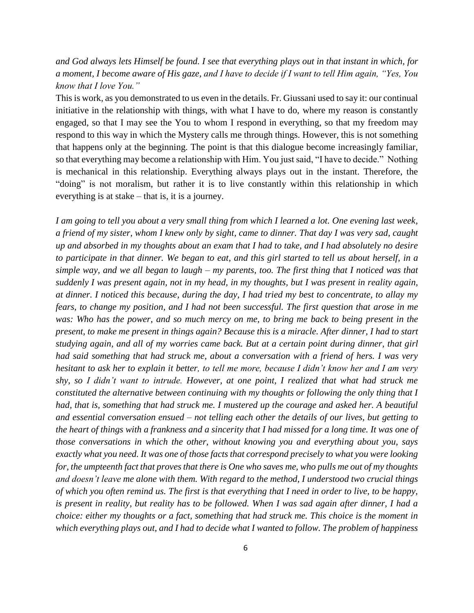## *and God always lets Himself be found. I see that everything plays out in that instant in which, for a moment, I become aware of His gaze, and I have to decide if I want to tell Him again, "Yes, You know that I love You."*

This is work, as you demonstrated to us even in the details. Fr. Giussani used to say it: our continual initiative in the relationship with things, with what I have to do, where my reason is constantly engaged, so that I may see the You to whom I respond in everything, so that my freedom may respond to this way in which the Mystery calls me through things. However, this is not something that happens only at the beginning. The point is that this dialogue become increasingly familiar, so that everything may become a relationship with Him. You just said, "I have to decide." Nothing is mechanical in this relationship. Everything always plays out in the instant. Therefore, the "doing" is not moralism, but rather it is to live constantly within this relationship in which everything is at stake – that is, it is a journey.

*I am going to tell you about a very small thing from which I learned a lot. One evening last week, a friend of my sister, whom I knew only by sight, came to dinner. That day I was very sad, caught up and absorbed in my thoughts about an exam that I had to take, and I had absolutely no desire to participate in that dinner. We began to eat, and this girl started to tell us about herself, in a simple way, and we all began to laugh – my parents, too. The first thing that I noticed was that suddenly I was present again, not in my head, in my thoughts, but I was present in reality again, at dinner. I noticed this because, during the day, I had tried my best to concentrate, to allay my fears, to change my position, and I had not been successful. The first question that arose in me was: Who has the power, and so much mercy on me, to bring me back to being present in the present, to make me present in things again? Because this is a miracle. After dinner, I had to start studying again, and all of my worries came back. But at a certain point during dinner, that girl had said something that had struck me, about a conversation with a friend of hers. I was very hesitant to ask her to explain it better, to tell me more, because I didn't know her and I am very shy, so I didn't want to intrude. However, at one point, I realized that what had struck me constituted the alternative between continuing with my thoughts or following the only thing that I had, that is, something that had struck me. I mustered up the courage and asked her. A beautiful and essential conversation ensued – not telling each other the details of our lives, but getting to the heart of things with a frankness and a sincerity that I had missed for a long time. It was one of those conversations in which the other, without knowing you and everything about you, says exactly what you need. It was one of those facts that correspond precisely to what you were looking for, the umpteenth fact that proves that there is One who saves me, who pulls me out of my thoughts and doesn't leave me alone with them. With regard to the method, I understood two crucial things of which you often remind us. The first is that everything that I need in order to live, to be happy, is present in reality, but reality has to be followed. When I was sad again after dinner, I had a choice: either my thoughts or a fact, something that had struck me. This choice is the moment in which everything plays out, and I had to decide what I wanted to follow. The problem of happiness*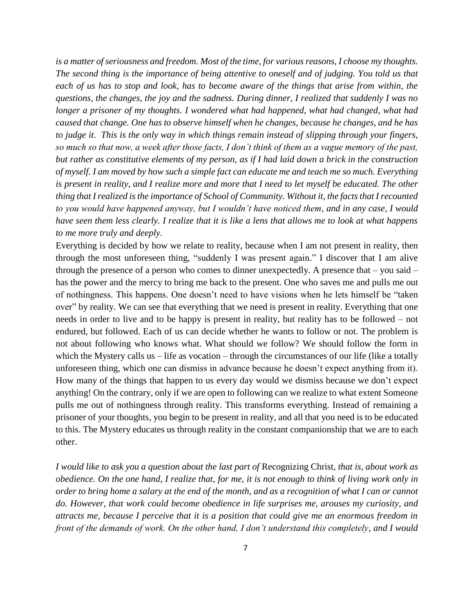*is a matter of seriousness and freedom. Most of the time, for various reasons, I choose my thoughts. The second thing is the importance of being attentive to oneself and of judging. You told us that each of us has to stop and look, has to become aware of the things that arise from within, the questions, the changes, the joy and the sadness. During dinner, I realized that suddenly I was no longer a prisoner of my thoughts. I wondered what had happened, what had changed, what had caused that change. One has to observe himself when he changes, because he changes, and he has to judge it. This is the only way in which things remain instead of slipping through your fingers, so much so that now, a week after those facts, I don't think of them as a vague memory of the past, but rather as constitutive elements of my person, as if I had laid down a brick in the construction of myself. I am moved by how such a simple fact can educate me and teach me so much. Everything is present in reality, and I realize more and more that I need to let myself be educated. The other thing that I realized is the importance of School of Community. Without it, the facts that I recounted to you would have happened anyway, but I wouldn't have noticed them, and in any case, I would have seen them less clearly. I realize that it is like a lens that allows me to look at what happens to me more truly and deeply.*

Everything is decided by how we relate to reality, because when I am not present in reality, then through the most unforeseen thing, "suddenly I was present again." I discover that I am alive through the presence of a person who comes to dinner unexpectedly. A presence that – you said – has the power and the mercy to bring me back to the present. One who saves me and pulls me out of nothingness. This happens. One doesn't need to have visions when he lets himself be "taken over" by reality. We can see that everything that we need is present in reality. Everything that one needs in order to live and to be happy is present in reality, but reality has to be followed – not endured, but followed. Each of us can decide whether he wants to follow or not. The problem is not about following who knows what. What should we follow? We should follow the form in which the Mystery calls us – life as vocation – through the circumstances of our life (like a totally unforeseen thing, which one can dismiss in advance because he doesn't expect anything from it). How many of the things that happen to us every day would we dismiss because we don't expect anything! On the contrary, only if we are open to following can we realize to what extent Someone pulls me out of nothingness through reality. This transforms everything. Instead of remaining a prisoner of your thoughts, you begin to be present in reality, and all that you need is to be educated to this. The Mystery educates us through reality in the constant companionship that we are to each other.

*I would like to ask you a question about the last part of* Recognizing Christ, *that is, about work as obedience. On the one hand, I realize that, for me, it is not enough to think of living work only in order to bring home a salary at the end of the month, and as a recognition of what I can or cannot do. However, that work could become obedience in life surprises me, arouses my curiosity, and attracts me, because I perceive that it is a position that could give me an enormous freedom in front of the demands of work. On the other hand, I don't understand this completely, and I would*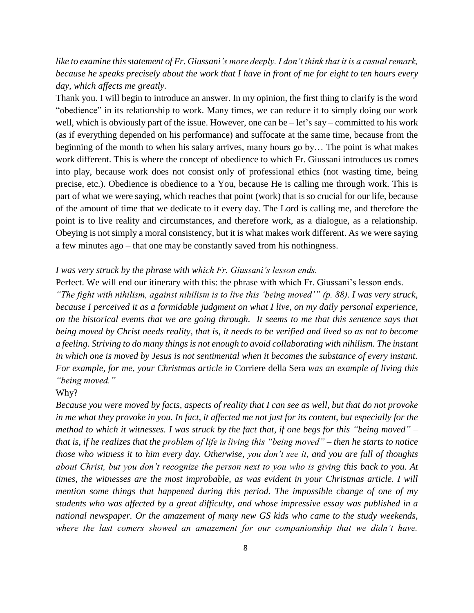## *like to examine this statement of Fr. Giussani's more deeply. I don't think that it is a casual remark, because he speaks precisely about the work that I have in front of me for eight to ten hours every day, which affects me greatly.*

Thank you. I will begin to introduce an answer. In my opinion, the first thing to clarify is the word "obedience" in its relationship to work. Many times, we can reduce it to simply doing our work well, which is obviously part of the issue. However, one can be – let's say – committed to his work (as if everything depended on his performance) and suffocate at the same time, because from the beginning of the month to when his salary arrives, many hours go by… The point is what makes work different. This is where the concept of obedience to which Fr. Giussani introduces us comes into play, because work does not consist only of professional ethics (not wasting time, being precise, etc.). Obedience is obedience to a You, because He is calling me through work. This is part of what we were saying, which reaches that point (work) that is so crucial for our life, because of the amount of time that we dedicate to it every day. The Lord is calling me, and therefore the point is to live reality and circumstances, and therefore work, as a dialogue, as a relationship. Obeying is not simply a moral consistency, but it is what makes work different. As we were saying a few minutes ago – that one may be constantly saved from his nothingness.

#### *I was very struck by the phrase with which Fr. Giussani's lesson ends.*

Perfect. We will end our itinerary with this: the phrase with which Fr. Giussani's lesson ends.

*"The fight with nihilism, against nihilism is to live this 'being moved'" (p. 88). I was very struck, because I perceived it as a formidable judgment on what I live, on my daily personal experience, on the historical events that we are going through. It seems to me that this sentence says that being moved by Christ needs reality, that is, it needs to be verified and lived so as not to become a feeling. Striving to do many things is not enough to avoid collaborating with nihilism. The instant in which one is moved by Jesus is not sentimental when it becomes the substance of every instant. For example, for me, your Christmas article in* Corriere della Sera *was an example of living this "being moved."*

#### Why?

*Because you were moved by facts, aspects of reality that I can see as well, but that do not provoke in me what they provoke in you. In fact, it affected me not just for its content, but especially for the method to which it witnesses. I was struck by the fact that, if one begs for this "being moved" – that is, if he realizes that the problem of life is living this "being moved" – then he starts to notice those who witness it to him every day. Otherwise, you don't see it, and you are full of thoughts about Christ, but you don't recognize the person next to you who is giving this back to you. At times, the witnesses are the most improbable, as was evident in your Christmas article. I will mention some things that happened during this period. The impossible change of one of my students who was affected by a great difficulty, and whose impressive essay was published in a national newspaper. Or the amazement of many new GS kids who came to the study weekends, where the last comers showed an amazement for our companionship that we didn't have.*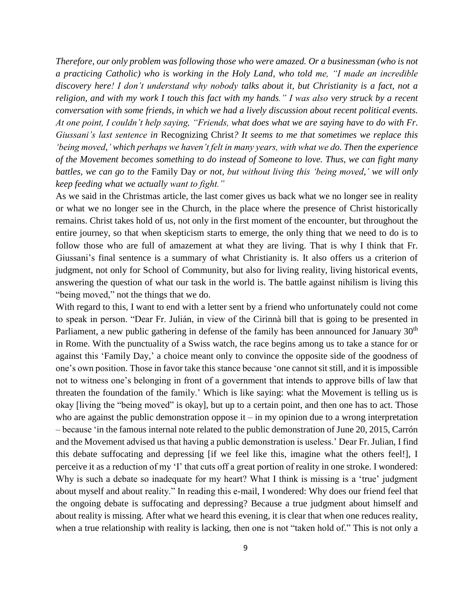*Therefore, our only problem was following those who were amazed. Or a businessman (who is not a practicing Catholic) who is working in the Holy Land, who told me, "I made an incredible discovery here! I don't understand why nobody talks about it, but Christianity is a fact, not a religion, and with my work I touch this fact with my hands." I was also very struck by a recent conversation with some friends, in which we had a lively discussion about recent political events. At one point, I couldn't help saying, "Friends, what does what we are saying have to do with Fr. Giussani's last sentence in* Recognizing Christ*? It seems to me that sometimes we replace this 'being moved,' which perhaps we haven't felt in many years, with what we do. Then the experience of the Movement becomes something to do instead of Someone to love. Thus, we can fight many battles, we can go to the* Family Day *or not, but without living this 'being moved,' we will only keep feeding what we actually want to fight."*

As we said in the Christmas article, the last comer gives us back what we no longer see in reality or what we no longer see in the Church, in the place where the presence of Christ historically remains. Christ takes hold of us, not only in the first moment of the encounter, but throughout the entire journey, so that when skepticism starts to emerge, the only thing that we need to do is to follow those who are full of amazement at what they are living. That is why I think that Fr. Giussani's final sentence is a summary of what Christianity is. It also offers us a criterion of judgment, not only for School of Community, but also for living reality, living historical events, answering the question of what our task in the world is. The battle against nihilism is living this "being moved," not the things that we do.

With regard to this, I want to end with a letter sent by a friend who unfortunately could not come to speak in person. "Dear Fr. Julián, in view of the Cirinnà bill that is going to be presented in Parliament, a new public gathering in defense of the family has been announced for January  $30<sup>th</sup>$ in Rome. With the punctuality of a Swiss watch, the race begins among us to take a stance for or against this 'Family Day,' a choice meant only to convince the opposite side of the goodness of one's own position. Those in favor take this stance because 'one cannot sit still, and it is impossible not to witness one's belonging in front of a government that intends to approve bills of law that threaten the foundation of the family.' Which is like saying: what the Movement is telling us is okay [living the "being moved" is okay], but up to a certain point, and then one has to act. Those who are against the public demonstration oppose  $it - in$  my opinion due to a wrong interpretation – because 'in the famous internal note related to the public demonstration of June 20, 2015, Carrón and the Movement advised us that having a public demonstration is useless.' Dear Fr. Julian, I find this debate suffocating and depressing [if we feel like this, imagine what the others feel!], I perceive it as a reduction of my 'I' that cuts off a great portion of reality in one stroke. I wondered: Why is such a debate so inadequate for my heart? What I think is missing is a 'true' judgment about myself and about reality." In reading this e-mail, I wondered: Why does our friend feel that the ongoing debate is suffocating and depressing? Because a true judgment about himself and about reality is missing. After what we heard this evening, it is clear that when one reduces reality, when a true relationship with reality is lacking, then one is not "taken hold of." This is not only a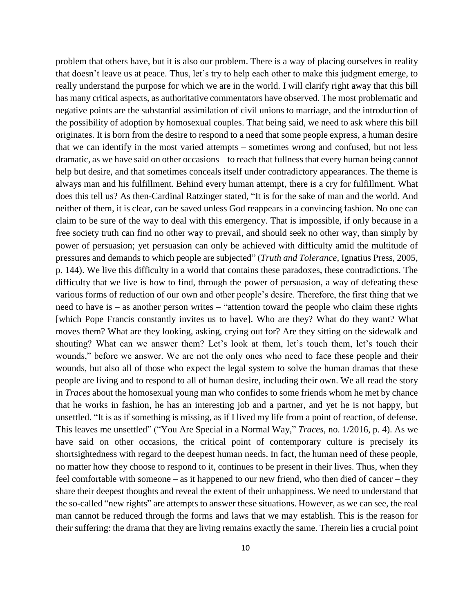problem that others have, but it is also our problem. There is a way of placing ourselves in reality that doesn't leave us at peace. Thus, let's try to help each other to make this judgment emerge, to really understand the purpose for which we are in the world. I will clarify right away that this bill has many critical aspects, as authoritative commentators have observed. The most problematic and negative points are the substantial assimilation of civil unions to marriage, and the introduction of the possibility of adoption by homosexual couples. That being said, we need to ask where this bill originates. It is born from the desire to respond to a need that some people express, a human desire that we can identify in the most varied attempts – sometimes wrong and confused, but not less dramatic, as we have said on other occasions – to reach that fullness that every human being cannot help but desire, and that sometimes conceals itself under contradictory appearances. The theme is always man and his fulfillment. Behind every human attempt, there is a cry for fulfillment. What does this tell us? As then-Cardinal Ratzinger stated, "It is for the sake of man and the world. And neither of them, it is clear, can be saved unless God reappears in a convincing fashion. No one can claim to be sure of the way to deal with this emergency. That is impossible, if only because in a free society truth can find no other way to prevail, and should seek no other way, than simply by power of persuasion; yet persuasion can only be achieved with difficulty amid the multitude of pressures and demands to which people are subjected" (*Truth and Tolerance*, Ignatius Press, 2005, p. 144). We live this difficulty in a world that contains these paradoxes, these contradictions. The difficulty that we live is how to find, through the power of persuasion, a way of defeating these various forms of reduction of our own and other people's desire. Therefore, the first thing that we need to have is – as another person writes – "attention toward the people who claim these rights [which Pope Francis constantly invites us to have]. Who are they? What do they want? What moves them? What are they looking, asking, crying out for? Are they sitting on the sidewalk and shouting? What can we answer them? Let's look at them, let's touch them, let's touch their wounds," before we answer. We are not the only ones who need to face these people and their wounds, but also all of those who expect the legal system to solve the human dramas that these people are living and to respond to all of human desire, including their own. We all read the story in *Traces* about the homosexual young man who confides to some friends whom he met by chance that he works in fashion, he has an interesting job and a partner, and yet he is not happy, but unsettled. "It is as if something is missing, as if I lived my life from a point of reaction, of defense. This leaves me unsettled" ("You Are Special in a Normal Way," *Traces*, no. 1/2016, p. 4). As we have said on other occasions, the critical point of contemporary culture is precisely its shortsightedness with regard to the deepest human needs. In fact, the human need of these people, no matter how they choose to respond to it, continues to be present in their lives. Thus, when they feel comfortable with someone – as it happened to our new friend, who then died of cancer – they share their deepest thoughts and reveal the extent of their unhappiness. We need to understand that the so-called "new rights" are attempts to answer these situations. However, as we can see, the real man cannot be reduced through the forms and laws that we may establish. This is the reason for their suffering: the drama that they are living remains exactly the same. Therein lies a crucial point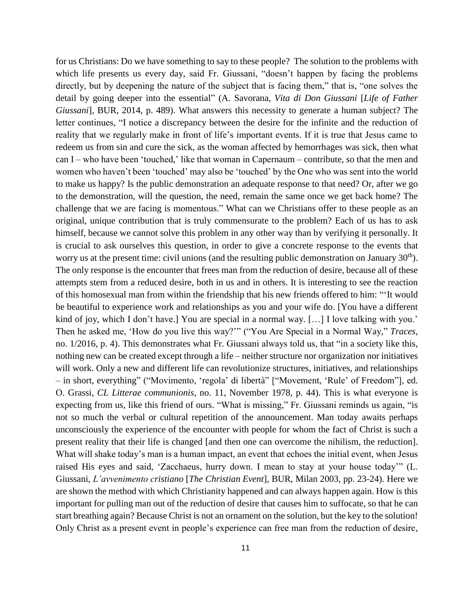for us Christians: Do we have something to say to these people? The solution to the problems with which life presents us every day, said Fr. Giussani, "doesn't happen by facing the problems directly, but by deepening the nature of the subject that is facing them," that is, "one solves the detail by going deeper into the essential" (A. Savorana, *Vita di Don Giussani* [*Life of Father Giussani*], BUR, 2014, p. 489). What answers this necessity to generate a human subject? The letter continues, "I notice a discrepancy between the desire for the infinite and the reduction of reality that we regularly make in front of life's important events. If it is true that Jesus came to redeem us from sin and cure the sick, as the woman affected by hemorrhages was sick, then what can I – who have been 'touched,' like that woman in Capernaum – contribute, so that the men and women who haven't been 'touched' may also be 'touched' by the One who was sent into the world to make us happy? Is the public demonstration an adequate response to that need? Or, after we go to the demonstration, will the question, the need, remain the same once we get back home? The challenge that we are facing is momentous." What can we Christians offer to these people as an original, unique contribution that is truly commensurate to the problem? Each of us has to ask himself, because we cannot solve this problem in any other way than by verifying it personally. It is crucial to ask ourselves this question, in order to give a concrete response to the events that worry us at the present time: civil unions (and the resulting public demonstration on January 30<sup>th</sup>). The only response is the encounter that frees man from the reduction of desire, because all of these attempts stem from a reduced desire, both in us and in others. It is interesting to see the reaction of this homosexual man from within the friendship that his new friends offered to him: "'It would be beautiful to experience work and relationships as you and your wife do. [You have a different kind of joy, which I don't have.] You are special in a normal way. [...] I love talking with you.' Then he asked me, 'How do you live this way?'" ("You Are Special in a Normal Way," *Traces*, no. 1/2016, p. 4). This demonstrates what Fr. Giussani always told us, that "in a society like this, nothing new can be created except through a life – neither structure nor organization nor initiatives will work. Only a new and different life can revolutionize structures, initiatives, and relationships – in short, everything" ("Movimento, 'regola' di libertà" ["Movement, 'Rule' of Freedom"], ed. O. Grassi, *CL Litterae communionis*, no. 11, November 1978, p. 44). This is what everyone is expecting from us, like this friend of ours. "What is missing," Fr. Giussani reminds us again, "is not so much the verbal or cultural repetition of the announcement. Man today awaits perhaps unconsciously the experience of the encounter with people for whom the fact of Christ is such a present reality that their life is changed [and then one can overcome the nihilism, the reduction]. What will shake today's man is a human impact, an event that echoes the initial event, when Jesus raised His eyes and said, 'Zacchaeus, hurry down. I mean to stay at your house today'" (L. Giussani, *L'avvenimento cristiano* [*The Christian Event*], BUR, Milan 2003, pp. 23-24). Here we are shown the method with which Christianity happened and can always happen again. How is this important for pulling man out of the reduction of desire that causes him to suffocate, so that he can start breathing again? Because Christ is not an ornament on the solution, but the key to the solution! Only Christ as a present event in people's experience can free man from the reduction of desire,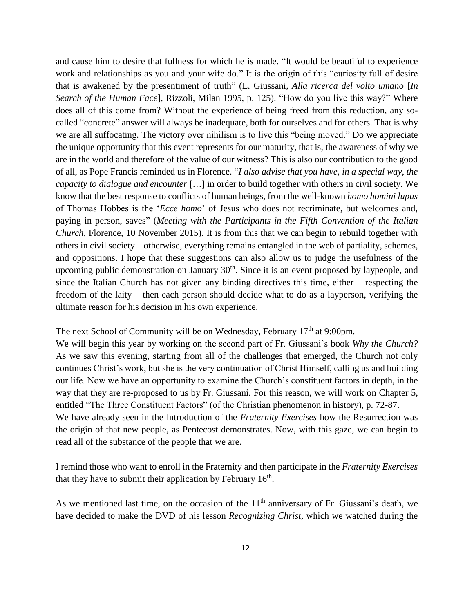and cause him to desire that fullness for which he is made. "It would be beautiful to experience work and relationships as you and your wife do." It is the origin of this "curiosity full of desire that is awakened by the presentiment of truth" (L. Giussani, *Alla ricerca del volto umano* [*In Search of the Human Face*], Rizzoli, Milan 1995, p. 125). "How do you live this way?" Where does all of this come from? Without the experience of being freed from this reduction, any socalled "concrete" answer will always be inadequate, both for ourselves and for others. That is why we are all suffocating. The victory over nihilism is to live this "being moved." Do we appreciate the unique opportunity that this event represents for our maturity, that is, the awareness of why we are in the world and therefore of the value of our witness? This is also our contribution to the good of all, as Pope Francis reminded us in Florence. "*I also advise that you have, in a special way, the capacity to dialogue and encounter* […] in order to build together with others in civil society. We know that the best response to conflicts of human beings, from the well-known *homo homini lupus*  of Thomas Hobbes is the '*Ecce homo*' of Jesus who does not recriminate, but welcomes and, paying in person, saves" (*Meeting with the Participants in the Fifth Convention of the Italian Church*, Florence, 10 November 2015). It is from this that we can begin to rebuild together with others in civil society – otherwise, everything remains entangled in the web of partiality, schemes, and oppositions. I hope that these suggestions can also allow us to judge the usefulness of the upcoming public demonstration on January  $30<sup>th</sup>$ . Since it is an event proposed by laypeople, and since the Italian Church has not given any binding directives this time, either – respecting the freedom of the laity – then each person should decide what to do as a layperson, verifying the ultimate reason for his decision in his own experience.

# The next School of Community will be on Wednesday, February 17<sup>th</sup> at 9:00pm.

We will begin this year by working on the second part of Fr. Giussani's book *Why the Church?* As we saw this evening, starting from all of the challenges that emerged, the Church not only continues Christ's work, but she is the very continuation of Christ Himself, calling us and building our life. Now we have an opportunity to examine the Church's constituent factors in depth, in the way that they are re-proposed to us by Fr. Giussani. For this reason, we will work on Chapter 5, entitled "The Three Constituent Factors" (of the Christian phenomenon in history), p. 72-87.

We have already seen in the Introduction of the *Fraternity Exercises* how the Resurrection was the origin of that new people, as Pentecost demonstrates. Now, with this gaze, we can begin to read all of the substance of the people that we are.

I remind those who want to enroll in the Fraternity and then participate in the *Fraternity Exercises* that they have to submit their application by February 16<sup>th</sup>.

As we mentioned last time, on the occasion of the  $11<sup>th</sup>$  anniversary of Fr. Giussani's death, we have decided to make the DVD of his lesson *Recognizing Christ*, which we watched during the